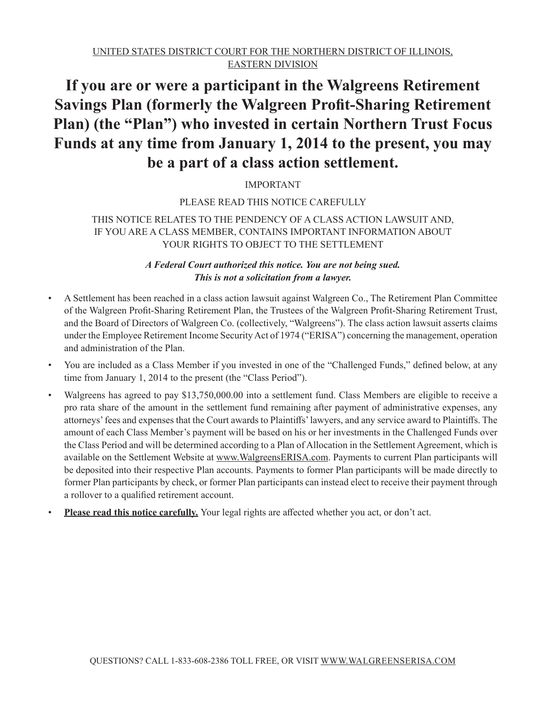# **If you are or were a participant in the Walgreens Retirement Savings Plan (formerly the Walgreen Profit-Sharing Retirement Plan) (the "Plan") who invested in certain Northern Trust Focus Funds at any time from January 1, 2014 to the present, you may be a part of a class action settlement.**

# IMPORTANT

## PLEASE READ THIS NOTICE CAREFULLY

# THIS NOTICE RELATES TO THE PENDENCY OF A CLASS ACTION LAWSUIT AND, IF YOU ARE A CLASS MEMBER, CONTAINS IMPORTANT INFORMATION ABOUT YOUR RIGHTS TO OBJECT TO THE SETTLEMENT

# *A Federal Court authorized this notice. You are not being sued. This is not a solicitation from a lawyer.*

- A Settlement has been reached in a class action lawsuit against Walgreen Co., The Retirement Plan Committee of the Walgreen Profit-Sharing Retirement Plan, the Trustees of the Walgreen Profit-Sharing Retirement Trust, and the Board of Directors of Walgreen Co. (collectively, "Walgreens"). The class action lawsuit asserts claims under the Employee Retirement Income Security Act of 1974 ("ERISA") concerning the management, operation and administration of the Plan.
- You are included as a Class Member if you invested in one of the "Challenged Funds," defined below, at any time from January 1, 2014 to the present (the "Class Period").
- Walgreens has agreed to pay \$13,750,000.00 into a settlement fund. Class Members are eligible to receive a pro rata share of the amount in the settlement fund remaining after payment of administrative expenses, any attorneys' fees and expenses that the Court awards to Plaintiffs' lawyers, and any service award to Plaintiffs. The amount of each Class Member's payment will be based on his or her investments in the Challenged Funds over the Class Period and will be determined according to a Plan of Allocation in the Settlement Agreement, which is available on the Settlement Website at www.WalgreensERISA.com. Payments to current Plan participants will be deposited into their respective Plan accounts. Payments to former Plan participants will be made directly to former Plan participants by check, or former Plan participants can instead elect to receive their payment through a rollover to a qualified retirement account.
- **Please read this notice carefully.** Your legal rights are affected whether you act, or don't act.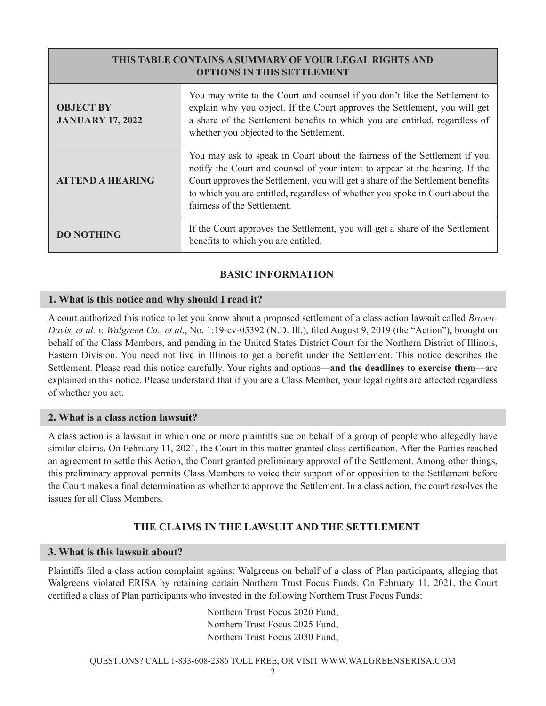| THIS TABLE CONTAINS A SUMMARY OF YOUR LEGAL RIGHTS AND<br><b>OPTIONS IN THIS SETTLEMENT</b> |                                                                                                                                                                                                                                                                                                                                                             |  |
|---------------------------------------------------------------------------------------------|-------------------------------------------------------------------------------------------------------------------------------------------------------------------------------------------------------------------------------------------------------------------------------------------------------------------------------------------------------------|--|
| <b>OBJECT BY</b><br><b>JANUARY 17, 2022</b>                                                 | You may write to the Court and counsel if you don't like the Settlement to<br>explain why you object. If the Court approves the Settlement, you will get<br>a share of the Settlement benefits to which you are entitled, regardless of<br>whether you objected to the Settlement.                                                                          |  |
| <b>ATTEND A HEARING</b>                                                                     | You may ask to speak in Court about the fairness of the Settlement if you<br>notify the Court and counsel of your intent to appear at the hearing. If the<br>Court approves the Settlement, you will get a share of the Settlement benefits<br>to which you are entitled, regardless of whether you spoke in Court about the<br>fairness of the Settlement. |  |
| <b>DO NOTHING</b>                                                                           | If the Court approves the Settlement, you will get a share of the Settlement<br>benefits to which you are entitled.                                                                                                                                                                                                                                         |  |

# **BASIC INFORMATION**

#### **1. What is this notice and why should I read it?**

A court authorized this notice to let you know about a proposed settlement of a class action lawsuit called *Brown-Davis, et al. v. Walgreen Co., et al*., No. 1:19-cv-05392 (N.D. Ill.), filed August 9, 2019 (the "Action"), brought on behalf of the Class Members, and pending in the United States District Court for the Northern District of Illinois, Eastern Division. You need not live in Illinois to get a benefit under the Settlement. This notice describes the Settlement. Please read this notice carefully. Your rights and options—**and the deadlines to exercise them**—are explained in this notice. Please understand that if you are a Class Member, your legal rights are affected regardless of whether you act.

#### **2. What is a class action lawsuit?**

A class action is a lawsuit in which one or more plaintiffs sue on behalf of a group of people who allegedly have similar claims. On February 11, 2021, the Court in this matter granted class certification. After the Parties reached an agreement to settle this Action, the Court granted preliminary approval of the Settlement. Among other things, this preliminary approval permits Class Members to voice their support of or opposition to the Settlement before the Court makes a final determination as whether to approve the Settlement. In a class action, the court resolves the issues for all Class Members.

# **THE CLAIMS IN THE LAWSUIT AND THE SETTLEMENT**

#### **3. What is this lawsuit about?**

Plaintiffs filed a class action complaint against Walgreens on behalf of a class of Plan participants, alleging that Walgreens violated ERISA by retaining certain Northern Trust Focus Funds. On February 11, 2021, the Court certified a class of Plan participants who invested in the following Northern Trust Focus Funds:

> Northern Trust Focus 2020 Fund, Northern Trust Focus 2025 Fund, Northern Trust Focus 2030 Fund,

QUESTIONS? CALL 1-833-608-2386 TOLL FREE, OR VISIT WWW.WALGREENSERISA.COM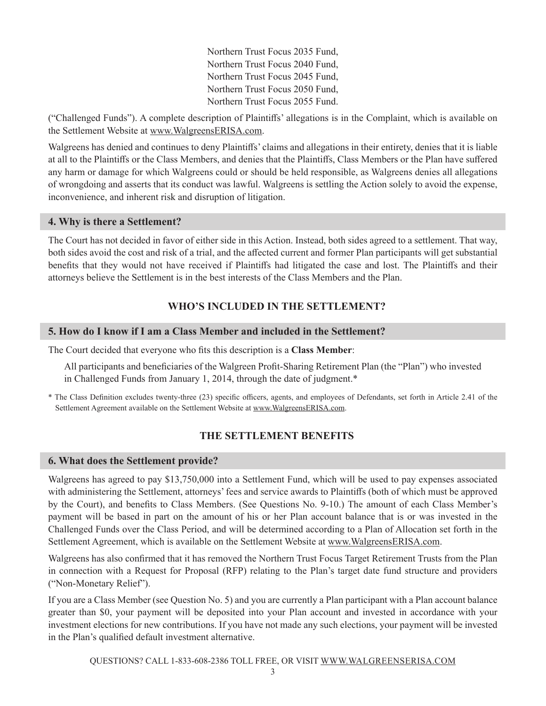Northern Trust Focus 2035 Fund, Northern Trust Focus 2040 Fund, Northern Trust Focus 2045 Fund, Northern Trust Focus 2050 Fund, Northern Trust Focus 2055 Fund.

("Challenged Funds"). A complete description of Plaintiffs' allegations is in the Complaint, which is available on the Settlement Website at www.WalgreensERISA.com.

Walgreens has denied and continues to deny Plaintiffs' claims and allegations in their entirety, denies that it is liable at all to the Plaintiffs or the Class Members, and denies that the Plaintiffs, Class Members or the Plan have suffered any harm or damage for which Walgreens could or should be held responsible, as Walgreens denies all allegations of wrongdoing and asserts that its conduct was lawful. Walgreens is settling the Action solely to avoid the expense, inconvenience, and inherent risk and disruption of litigation.

#### **4. Why is there a Settlement?**

The Court has not decided in favor of either side in this Action. Instead, both sides agreed to a settlement. That way, both sides avoid the cost and risk of a trial, and the affected current and former Plan participants will get substantial benefits that they would not have received if Plaintiffs had litigated the case and lost. The Plaintiffs and their attorneys believe the Settlement is in the best interests of the Class Members and the Plan.

# **WHO'S INCLUDED IN THE SETTLEMENT?**

## **5. How do I know if I am a Class Member and included in the Settlement?**

The Court decided that everyone who fits this description is a **Class Member**:

All participants and beneficiaries of the Walgreen Profit-Sharing Retirement Plan (the "Plan") who invested in Challenged Funds from January 1, 2014, through the date of judgment.\*

\* The Class Definition excludes twenty-three (23) specific officers, agents, and employees of Defendants, set forth in Article 2.41 of the Settlement Agreement available on the Settlement Website at www.WalgreensERISA.com.

# **THE SETTLEMENT BENEFITS**

#### **6. What does the Settlement provide?**

Walgreens has agreed to pay \$13,750,000 into a Settlement Fund, which will be used to pay expenses associated with administering the Settlement, attorneys' fees and service awards to Plaintiffs (both of which must be approved by the Court), and benefits to Class Members. (See Questions No. 9-10.) The amount of each Class Member's payment will be based in part on the amount of his or her Plan account balance that is or was invested in the Challenged Funds over the Class Period, and will be determined according to a Plan of Allocation set forth in the Settlement Agreement, which is available on the Settlement Website at www.WalgreensERISA.com.

Walgreens has also confirmed that it has removed the Northern Trust Focus Target Retirement Trusts from the Plan in connection with a Request for Proposal (RFP) relating to the Plan's target date fund structure and providers ("Non-Monetary Relief").

If you are a Class Member (see Question No. 5) and you are currently a Plan participant with a Plan account balance greater than \$0, your payment will be deposited into your Plan account and invested in accordance with your investment elections for new contributions. If you have not made any such elections, your payment will be invested in the Plan's qualified default investment alternative.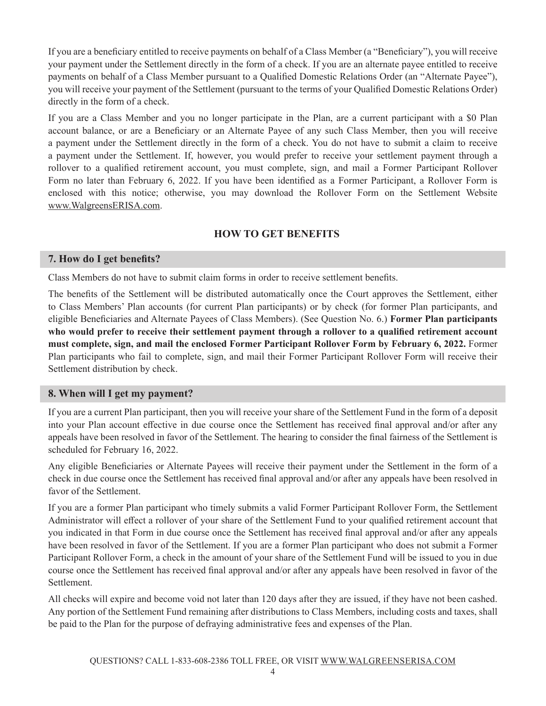If you are a beneficiary entitled to receive payments on behalf of a Class Member (a "Beneficiary"), you will receive your payment under the Settlement directly in the form of a check. If you are an alternate payee entitled to receive payments on behalf of a Class Member pursuant to a Qualified Domestic Relations Order (an "Alternate Payee"), you will receive your payment of the Settlement (pursuant to the terms of your Qualified Domestic Relations Order) directly in the form of a check.

If you are a Class Member and you no longer participate in the Plan, are a current participant with a \$0 Plan account balance, or are a Beneficiary or an Alternate Payee of any such Class Member, then you will receive a payment under the Settlement directly in the form of a check. You do not have to submit a claim to receive a payment under the Settlement. If, however, you would prefer to receive your settlement payment through a rollover to a qualified retirement account, you must complete, sign, and mail a Former Participant Rollover Form no later than February 6, 2022. If you have been identified as a Former Participant, a Rollover Form is enclosed with this notice; otherwise, you may download the Rollover Form on the Settlement Website www.WalgreensERISA.com.

# **HOW TO GET BENEFITS**

#### **7. How do I get benefits?**

Class Members do not have to submit claim forms in order to receive settlement benefits.

The benefits of the Settlement will be distributed automatically once the Court approves the Settlement, either to Class Members' Plan accounts (for current Plan participants) or by check (for former Plan participants, and eligible Beneficiaries and Alternate Payees of Class Members). (See Question No. 6.) **Former Plan participants who would prefer to receive their settlement payment through a rollover to a qualified retirement account must complete, sign, and mail the enclosed Former Participant Rollover Form by February 6, 2022.** Former Plan participants who fail to complete, sign, and mail their Former Participant Rollover Form will receive their Settlement distribution by check.

## **8. When will I get my payment?**

If you are a current Plan participant, then you will receive your share of the Settlement Fund in the form of a deposit into your Plan account effective in due course once the Settlement has received final approval and/or after any appeals have been resolved in favor of the Settlement. The hearing to consider the final fairness of the Settlement is scheduled for February 16, 2022.

Any eligible Beneficiaries or Alternate Payees will receive their payment under the Settlement in the form of a check in due course once the Settlement has received final approval and/or after any appeals have been resolved in favor of the Settlement.

If you are a former Plan participant who timely submits a valid Former Participant Rollover Form, the Settlement Administrator will effect a rollover of your share of the Settlement Fund to your qualified retirement account that you indicated in that Form in due course once the Settlement has received final approval and/or after any appeals have been resolved in favor of the Settlement. If you are a former Plan participant who does not submit a Former Participant Rollover Form, a check in the amount of your share of the Settlement Fund will be issued to you in due course once the Settlement has received final approval and/or after any appeals have been resolved in favor of the Settlement.

All checks will expire and become void not later than 120 days after they are issued, if they have not been cashed. Any portion of the Settlement Fund remaining after distributions to Class Members, including costs and taxes, shall be paid to the Plan for the purpose of defraying administrative fees and expenses of the Plan.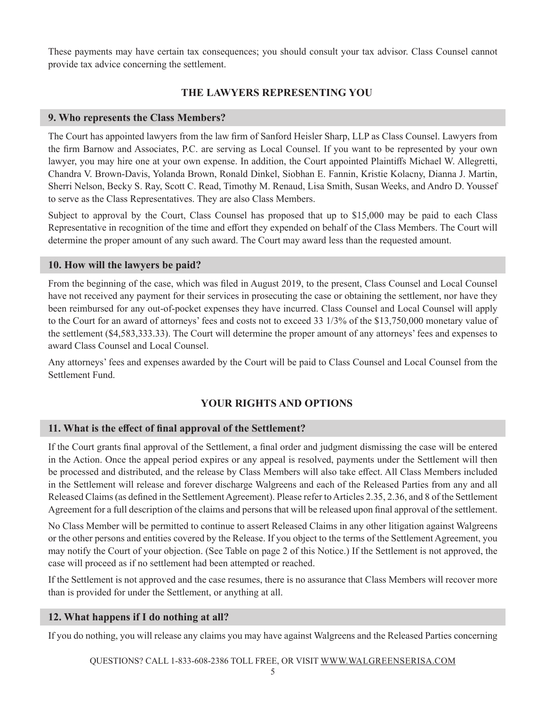These payments may have certain tax consequences; you should consult your tax advisor. Class Counsel cannot provide tax advice concerning the settlement.

# **THE LAWYERS REPRESENTING YOU**

#### **9. Who represents the Class Members?**

The Court has appointed lawyers from the law firm of Sanford Heisler Sharp, LLP as Class Counsel. Lawyers from the firm Barnow and Associates, P.C. are serving as Local Counsel. If you want to be represented by your own lawyer, you may hire one at your own expense. In addition, the Court appointed Plaintiffs Michael W. Allegretti, Chandra V. Brown-Davis, Yolanda Brown, Ronald Dinkel, Siobhan E. Fannin, Kristie Kolacny, Dianna J. Martin, Sherri Nelson, Becky S. Ray, Scott C. Read, Timothy M. Renaud, Lisa Smith, Susan Weeks, and Andro D. Youssef to serve as the Class Representatives. They are also Class Members.

Subject to approval by the Court, Class Counsel has proposed that up to \$15,000 may be paid to each Class Representative in recognition of the time and effort they expended on behalf of the Class Members. The Court will determine the proper amount of any such award. The Court may award less than the requested amount.

#### **10. How will the lawyers be paid?**

From the beginning of the case, which was filed in August 2019, to the present, Class Counsel and Local Counsel have not received any payment for their services in prosecuting the case or obtaining the settlement, nor have they been reimbursed for any out-of-pocket expenses they have incurred. Class Counsel and Local Counsel will apply to the Court for an award of attorneys' fees and costs not to exceed 33 1/3% of the \$13,750,000 monetary value of the settlement (\$4,583,333.33). The Court will determine the proper amount of any attorneys' fees and expenses to award Class Counsel and Local Counsel.

Any attorneys' fees and expenses awarded by the Court will be paid to Class Counsel and Local Counsel from the Settlement Fund.

## **YOUR RIGHTS AND OPTIONS**

## **11. What is the effect of final approval of the Settlement?**

If the Court grants final approval of the Settlement, a final order and judgment dismissing the case will be entered in the Action. Once the appeal period expires or any appeal is resolved, payments under the Settlement will then be processed and distributed, and the release by Class Members will also take effect. All Class Members included in the Settlement will release and forever discharge Walgreens and each of the Released Parties from any and all Released Claims (as defined in the Settlement Agreement). Please refer to Articles 2.35, 2.36, and 8 of the Settlement Agreement for a full description of the claims and persons that will be released upon final approval of the settlement.

No Class Member will be permitted to continue to assert Released Claims in any other litigation against Walgreens or the other persons and entities covered by the Release. If you object to the terms of the Settlement Agreement, you may notify the Court of your objection. (See Table on page 2 of this Notice.) If the Settlement is not approved, the case will proceed as if no settlement had been attempted or reached.

If the Settlement is not approved and the case resumes, there is no assurance that Class Members will recover more than is provided for under the Settlement, or anything at all.

#### **12. What happens if I do nothing at all?**

If you do nothing, you will release any claims you may have against Walgreens and the Released Parties concerning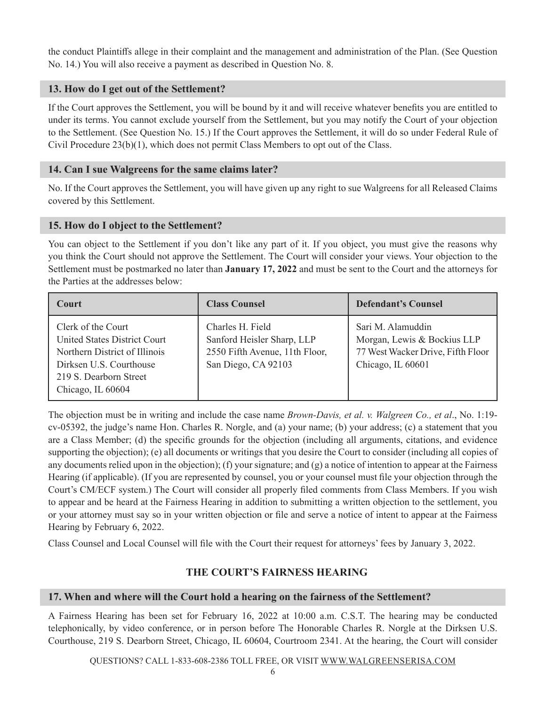the conduct Plaintiffs allege in their complaint and the management and administration of the Plan. (See Question No. 14.) You will also receive a payment as described in Question No. 8.

## **13. How do I get out of the Settlement?**

If the Court approves the Settlement, you will be bound by it and will receive whatever benefits you are entitled to under its terms. You cannot exclude yourself from the Settlement, but you may notify the Court of your objection to the Settlement. (See Question No. 15.) If the Court approves the Settlement, it will do so under Federal Rule of Civil Procedure 23(b)(1), which does not permit Class Members to opt out of the Class.

## **14. Can I sue Walgreens for the same claims later?**

No. If the Court approves the Settlement, you will have given up any right to sue Walgreens for all Released Claims covered by this Settlement.

## **15. How do I object to the Settlement?**

You can object to the Settlement if you don't like any part of it. If you object, you must give the reasons why you think the Court should not approve the Settlement. The Court will consider your views. Your objection to the Settlement must be postmarked no later than **January 17, 2022** and must be sent to the Court and the attorneys for the Parties at the addresses below:

| <b>Court</b>                                                                                                                                                  | <b>Class Counsel</b>                                                                                    | <b>Defendant's Counsel</b>                                                                                 |
|---------------------------------------------------------------------------------------------------------------------------------------------------------------|---------------------------------------------------------------------------------------------------------|------------------------------------------------------------------------------------------------------------|
| Clerk of the Court<br>United States District Court<br>Northern District of Illinois<br>Dirksen U.S. Courthouse<br>219 S. Dearborn Street<br>Chicago, IL 60604 | Charles H. Field<br>Sanford Heisler Sharp, LLP<br>2550 Fifth Avenue, 11th Floor,<br>San Diego, CA 92103 | Sari M. Alamuddin<br>Morgan, Lewis & Bockius LLP<br>77 West Wacker Drive, Fifth Floor<br>Chicago, IL 60601 |

The objection must be in writing and include the case name *Brown-Davis, et al. v. Walgreen Co., et al*., No. 1:19 cv-05392, the judge's name Hon. Charles R. Norgle, and (a) your name; (b) your address; (c) a statement that you are a Class Member; (d) the specific grounds for the objection (including all arguments, citations, and evidence supporting the objection); (e) all documents or writings that you desire the Court to consider (including all copies of any documents relied upon in the objection); (f) your signature; and (g) a notice of intention to appear at the Fairness Hearing (if applicable). (If you are represented by counsel, you or your counsel must file your objection through the Court's CM/ECF system.) The Court will consider all properly filed comments from Class Members. If you wish to appear and be heard at the Fairness Hearing in addition to submitting a written objection to the settlement, you or your attorney must say so in your written objection or file and serve a notice of intent to appear at the Fairness Hearing by February 6, 2022.

Class Counsel and Local Counsel will file with the Court their request for attorneys' fees by January 3, 2022.

# **THE COURT'S FAIRNESS HEARING**

## **17. When and where will the Court hold a hearing on the fairness of the Settlement?**

A Fairness Hearing has been set for February 16, 2022 at 10:00 a.m. C.S.T. The hearing may be conducted telephonically, by video conference, or in person before The Honorable Charles R. Norgle at the Dirksen U.S. Courthouse, 219 S. Dearborn Street, Chicago, IL 60604, Courtroom 2341. At the hearing, the Court will consider

QUESTIONS? CALL 1-833-608-2386 TOLL FREE, OR VISIT WWW.WALGREENSERISA.COM